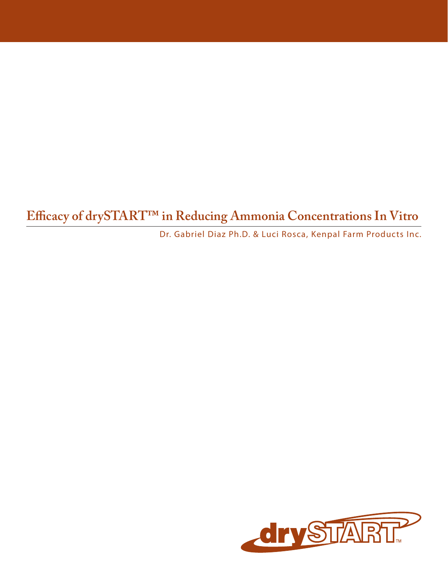**Efficacy of drySTART™ in Reducing Ammonia Concentrations In Vitro**

Dr. Gabriel Diaz Ph.D. & Luci Rosca, Kenpal Farm Products Inc.

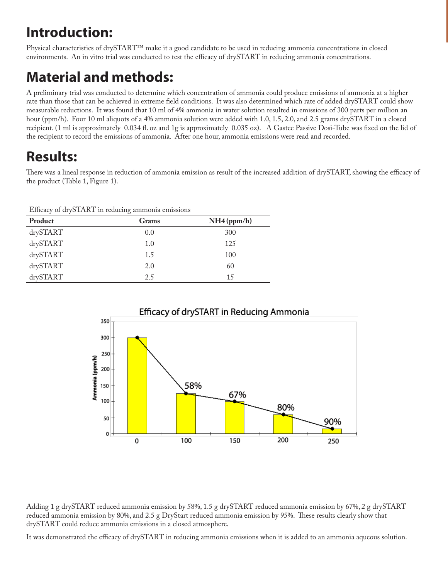## **Introduction:**

Physical characteristics of drySTART™ make it a good candidate to be used in reducing ammonia concentrations in closed environments. An in vitro trial was conducted to test the efficacy of drySTART in reducing ammonia concentrations.

## **Material and methods:**

A preliminary trial was conducted to determine which concentration of ammonia could produce emissions of ammonia at a higher rate than those that can be achieved in extreme field conditions. It was also determined which rate of added drySTART could show measurable reductions. It was found that 10 ml of 4% ammonia in water solution resulted in emissions of 300 parts per million an hour (ppm/h). Four 10 ml aliquots of a 4% ammonia solution were added with 1.0, 1.5, 2.0, and 2.5 grams drySTART in a closed recipient. (1 ml is approximately 0.034 fl. oz and 1g is approximately 0.035 oz). A Gastec Passive Dosi-Tube was fixed on the lid of the recipient to record the emissions of ammonia. After one hour, ammonia emissions were read and recorded.

## **Results:**

There was a lineal response in reduction of ammonia emission as result of the increased addition of drySTART, showing the efficacy of the product (Table 1, Figure 1).

Efficacy of drySTART in reducing ammonia emissions

| Product  | Grams | $NH4$ (ppm/h) |
|----------|-------|---------------|
| drySTART | 0.0   | 300           |
| drySTART | 1.0   | 125           |
| drySTART | 1.5   | 100           |
| drySTART | 2.0   | 60            |
| drySTART | 2.5   | 15            |



Adding 1 g drySTART reduced ammonia emission by 58%, 1.5 g drySTART reduced ammonia emission by 67%, 2 g drySTART reduced ammonia emission by 80%, and 2.5 g DryStart reduced ammonia emission by 95%. These results clearly show that drySTART could reduce ammonia emissions in a closed atmosphere.

It was demonstrated the efficacy of drySTART in reducing ammonia emissions when it is added to an ammonia aqueous solution.